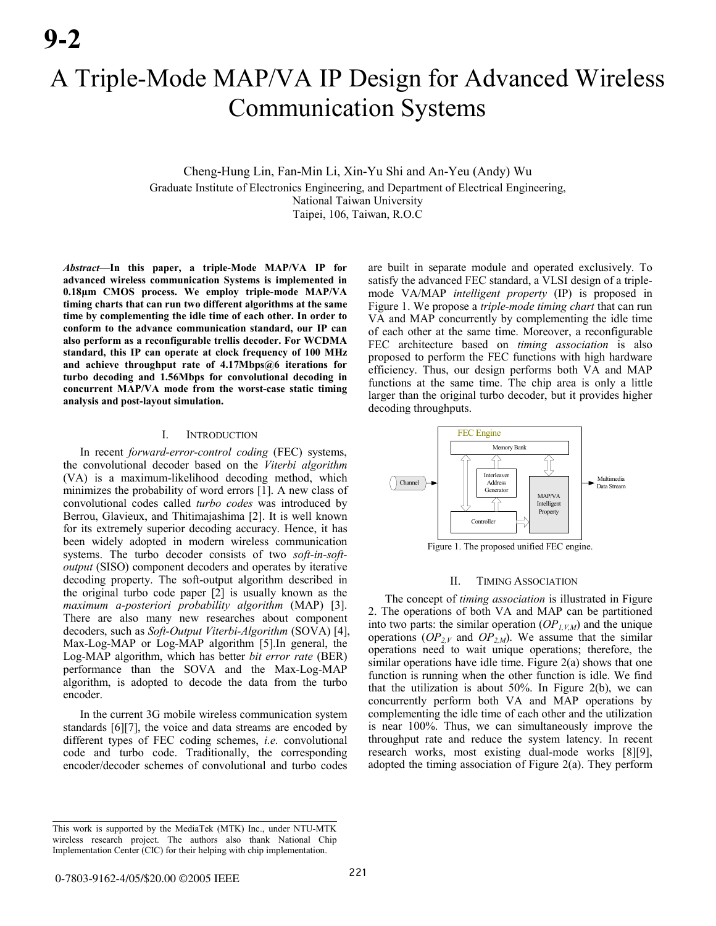# A Triple-Mode MAP/VA IP Design for Advanced Wireless Communication Systems

Cheng-Hung Lin, Fan-Min Li, Xin-Yu Shi and An-Yeu (Andy) Wu Graduate Institute of Electronics Engineering, and Department of Electrical Engineering, National Taiwan University Taipei, 106, Taiwan, R.O.C

*Abstract***—In this paper, a triple-Mode MAP/VA IP for advanced wireless communication Systems is implemented in 0.18µm CMOS process. We employ triple-mode MAP/VA timing charts that can run two different algorithms at the same time by complementing the idle time of each other. In order to conform to the advance communication standard, our IP can also perform as a reconfigurable trellis decoder. For WCDMA standard, this IP can operate at clock frequency of 100 MHz and achieve throughput rate of 4.17Mbps@6 iterations for turbo decoding and 1.56Mbps for convolutional decoding in concurrent MAP/VA mode from the worst-case static timing analysis and post-layout simulation.** 

#### I. INTRODUCTION

In recent *forward-error-control coding* (FEC) systems, the convolutional decoder based on the *Viterbi algorithm* (VA) is a maximum-likelihood decoding method, which minimizes the probability of word errors [1]. A new class of convolutional codes called *turbo codes* was introduced by Berrou, Glavieux, and Thitimajashima [2]. It is well known for its extremely superior decoding accuracy. Hence, it has been widely adopted in modern wireless communication systems. The turbo decoder consists of two *soft-in-softoutput* (SISO) component decoders and operates by iterative decoding property. The soft-output algorithm described in the original turbo code paper [2] is usually known as the *maximum a-posteriori probability algorithm* (MAP) [3]. There are also many new researches about component decoders, such as *Soft-Output Viterbi-Algorithm* (SOVA) [4], Max-Log-MAP or Log-MAP algorithm [5].In general, the Log-MAP algorithm, which has better *bit error rate* (BER) performance than the SOVA and the Max-Log-MAP algorithm, is adopted to decode the data from the turbo encoder.

In the current 3G mobile wireless communication system standards [6][7], the voice and data streams are encoded by different types of FEC coding schemes, *i.e.* convolutional code and turbo code. Traditionally, the corresponding encoder/decoder schemes of convolutional and turbo codes are built in separate module and operated exclusively. To satisfy the advanced FEC standard, a VLSI design of a triplemode VA/MAP *intelligent property* (IP) is proposed in Figure 1. We propose a *triple-mode timing chart* that can run VA and MAP concurrently by complementing the idle time of each other at the same time. Moreover, a reconfigurable FEC architecture based on *timing association* is also proposed to perform the FEC functions with high hardware efficiency. Thus, our design performs both VA and MAP functions at the same time. The chip area is only a little larger than the original turbo decoder, but it provides higher decoding throughputs.



Figure 1. The proposed unified FEC engine.

## II. TIMING ASSOCIATION

The concept of *timing association* is illustrated in Figure 2. The operations of both VA and MAP can be partitioned into two parts: the similar operation  $OP<sub>l,VM</sub>$  and the unique operations  $OP_{2,V}$  and  $OP_{2,M}$ ). We assume that the similar operations need to wait unique operations; therefore, the similar operations have idle time. Figure 2(a) shows that one function is running when the other function is idle. We find that the utilization is about  $50\%$ . In Figure 2(b), we can concurrently perform both VA and MAP operations by complementing the idle time of each other and the utilization is near 100%. Thus, we can simultaneously improve the throughput rate and reduce the system latency. In recent research works, most existing dual-mode works [8][9], adopted the timing association of Figure 2(a). They perform

This work is supported by the MediaTek (MTK) Inc., under NTU-MTK wireless research project. The authors also thank National Chip Implementation Center (CIC) for their helping with chip implementation.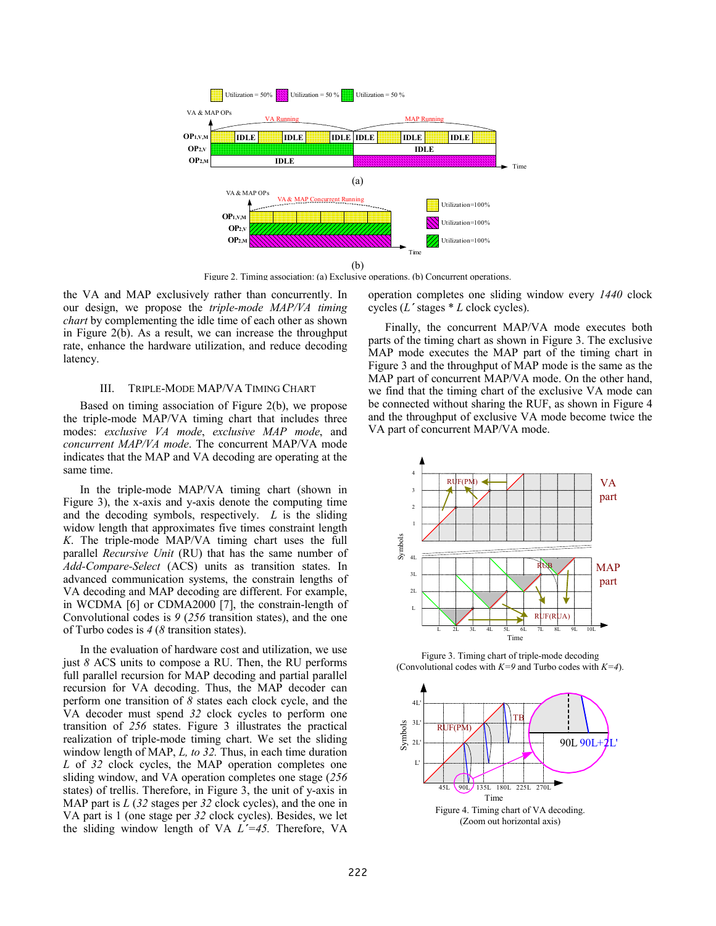

Figure 2. Timing association: (a) Exclusive operations. (b) Concurrent operations.

the VA and MAP exclusively rather than concurrently. In our design, we propose the *triple-mode MAP/VA timing chart* by complementing the idle time of each other as shown in Figure 2(b). As a result, we can increase the throughput rate, enhance the hardware utilization, and reduce decoding latency.

#### III. TRIPLE-MODE MAP/VA TIMING CHART

Based on timing association of Figure 2(b), we propose the triple-mode MAP/VA timing chart that includes three modes: *exclusive VA mode*, *exclusive MAP mode*, and *concurrent MAP/VA mode*. The concurrent MAP/VA mode indicates that the MAP and VA decoding are operating at the same time.

In the triple-mode MAP/VA timing chart (shown in Figure 3), the x-axis and y-axis denote the computing time and the decoding symbols, respectively. *L* is the sliding widow length that approximates five times constraint length *K*. The triple-mode MAP/VA timing chart uses the full parallel *Recursive Unit* (RU) that has the same number of *Add-Compare-Select* (ACS) units as transition states. In advanced communication systems, the constrain lengths of VA decoding and MAP decoding are different. For example, in WCDMA [6] or CDMA2000 [7], the constrain-length of Convolutional codes is *9* (*256* transition states), and the one of Turbo codes is *4* (*8* transition states).

In the evaluation of hardware cost and utilization, we use just *8* ACS units to compose a RU. Then, the RU performs full parallel recursion for MAP decoding and partial parallel recursion for VA decoding. Thus, the MAP decoder can perform one transition of *8* states each clock cycle, and the VA decoder must spend *32* clock cycles to perform one transition of *256* states. Figure 3 illustrates the practical realization of triple-mode timing chart. We set the sliding window length of MAP, *L, to 32.* Thus, in each time duration *L* of *32* clock cycles, the MAP operation completes one sliding window, and VA operation completes one stage (*256* states) of trellis. Therefore, in Figure 3, the unit of y-axis in MAP part is *L* (*32* stages per *32* clock cycles), and the one in VA part is 1 (one stage per *32* clock cycles). Besides, we let the sliding window length of VA *L΄=45.* Therefore, VA operation completes one sliding window every *1440* clock cycles (*L΄* stages \* *L* clock cycles).

Finally, the concurrent MAP/VA mode executes both parts of the timing chart as shown in Figure 3. The exclusive MAP mode executes the MAP part of the timing chart in Figure 3 and the throughput of MAP mode is the same as the MAP part of concurrent MAP/VA mode. On the other hand, we find that the timing chart of the exclusive VA mode can be connected without sharing the RUF, as shown in Figure 4 and the throughput of exclusive VA mode become twice the VA part of concurrent MAP/VA mode.



Figure 3. Timing chart of triple-mode decoding (Convolutional codes with *K=9* and Turbo codes with *K=4*).



(Zoom out horizontal axis)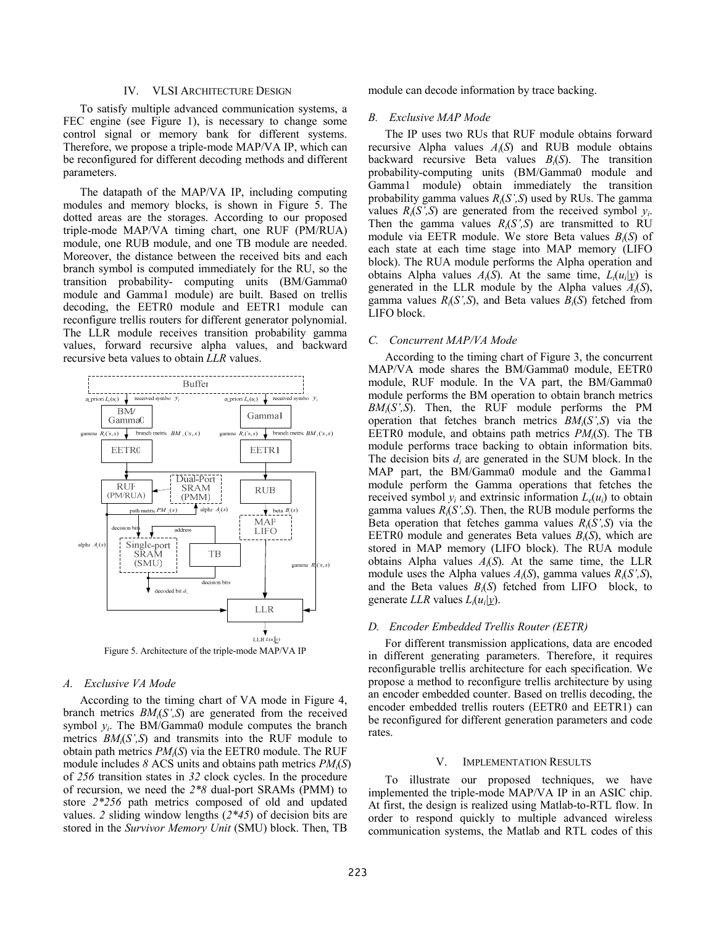## IV. VLSI ARCHITECTURE DESIGN

To satisfy multiple advanced communication systems, a FEC engine (see Figure 1), is necessary to change some control signal or memory bank for different systems. Therefore, we propose a triple-mode MAP/VA IP, which can be reconfigured for different decoding methods and different parameters.

The datapath of the MAP/VA IP, including computing modules and memory blocks, is shown in Figure 5. The dotted areas are the storages. According to our proposed triple-mode MAP/VA timing chart, one RUF (PM/RUA) module, one RUB module, and one TB module are needed. Moreover, the distance between the received bits and each branch symbol is computed immediately for the RU, so the transition probability- computing units (BM/Gamma0 module and Gamma1 module) are built. Based on trellis decoding, the EETR0 module and EETR1 module can reconfigure trellis routers for different generator polynomial. The LLR module receives transition probability gamma values, forward recursive alpha values, and backward recursive beta values to obtain *LLR* values.



Figure 5. Architecture of the triple-mode MAP/VA IP

## *A. Exclusive VA Mode*

According to the timing chart of VA mode in Figure 4, branch metrics *BMi*(*S',S*) are generated from the received symbol  $y_i$ . The BM/Gamma0 module computes the branch metrics *BMi*(*S',S*) and transmits into the RUF module to obtain path metrics *PMi*(*S*) via the EETR0 module. The RUF module includes *8* ACS units and obtains path metrics *PMi*(*S*) of *256* transition states in *32* clock cycles. In the procedure of recursion, we need the *2\*8* dual-port SRAMs (PMM) to store *2\*256* path metrics composed of old and updated values. *2* sliding window lengths (*2\*45*) of decision bits are stored in the *Survivor Memory Unit* (SMU) block. Then, TB

module can decode information by trace backing.

#### *B. Exclusive MAP Mode*

The IP uses two RUs that RUF module obtains forward recursive Alpha values *Ai*(*S*) and RUB module obtains backward recursive Beta values *Bi*(*S*). The transition probability-computing units (BM/Gamma0 module and Gamma1 module) obtain immediately the transition probability gamma values *Ri*(*S',S*) used by RUs. The gamma values  $R_i(S',S)$  are generated from the received symbol  $y_i$ . Then the gamma values  $R_i(S',S)$  are transmitted to RU module via EETR module. We store Beta values *Bi*(*S*) of each state at each time stage into MAP memory (LIFO block). The RUA module performs the Alpha operation and obtains Alpha values  $A_i(S)$ . At the same time,  $L_i(u_i|y)$  is generated in the LLR module by the Alpha values *Ai*(*S*), gamma values  $R_i(S',S)$ , and Beta values  $B_i(S)$  fetched from LIFO block.

## *C. Concurrent MAP/VA Mode*

According to the timing chart of Figure 3, the concurrent MAP/VA mode shares the BM/Gamma0 module, EETR0 module, RUF module. In the VA part, the BM/Gamma0 module performs the BM operation to obtain branch metrics *BMi*(*S',S*). Then, the RUF module performs the PM operation that fetches branch metrics *BMi*(*S',S*) via the EETR0 module, and obtains path metrics *PMi*(*S*). The TB module performs trace backing to obtain information bits. The decision bits *di* are generated in the SUM block. In the MAP part, the BM/Gamma0 module and the Gamma1 module perform the Gamma operations that fetches the received symbol  $v_i$  and extrinsic information  $L_e(u_i)$  to obtain gamma values  $R_i(S',S)$ . Then, the RUB module performs the Beta operation that fetches gamma values  $R_i(S',S)$  via the EETR0 module and generates Beta values *Bi*(*S*), which are stored in MAP memory (LIFO block). The RUA module obtains Alpha values *Ai*(*S*). At the same time, the LLR module uses the Alpha values *Ai*(*S*), gamma values *Ri*(*S',S*), and the Beta values *Bi*(*S*) fetched from LIFO block, to generate *LLR* values  $L_i(u_i|y)$ .

## *D. Encoder Embedded Trellis Router (EETR)*

For different transmission applications, data are encoded in different generating parameters. Therefore, it requires reconfigurable trellis architecture for each specification. We propose a method to reconfigure trellis architecture by using an encoder embedded counter. Based on trellis decoding, the encoder embedded trellis routers (EETR0 and EETR1) can be reconfigured for different generation parameters and code rates.

#### V. IMPLEMENTATION RESULTS

To illustrate our proposed techniques, we have implemented the triple-mode MAP/VA IP in an ASIC chip. At first, the design is realized using Matlab-to-RTL flow. In order to respond quickly to multiple advanced wireless communication systems, the Matlab and RTL codes of this